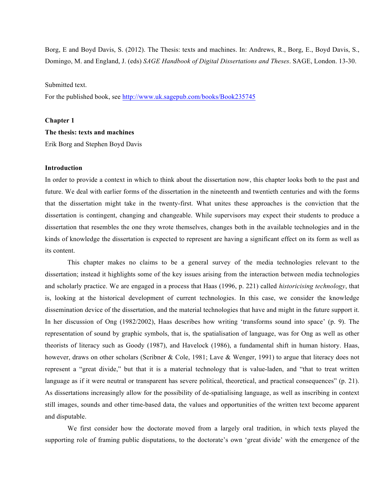Borg, E and Boyd Davis, S. (2012). The Thesis: texts and machines. In: Andrews, R., Borg, E., Boyd Davis, S., Domingo, M. and England, J. (eds) *SAGE Handbook of Digital Dissertations and Theses*. SAGE, London. 13-30.

#### Submitted text.

For the published book, see http://www.uk.sagepub.com/books/Book235745

### **Chapter 1**

# **The thesis: texts and machines**

Erik Borg and Stephen Boyd Davis

# **Introduction**

In order to provide a context in which to think about the dissertation now, this chapter looks both to the past and future. We deal with earlier forms of the dissertation in the nineteenth and twentieth centuries and with the forms that the dissertation might take in the twenty-first. What unites these approaches is the conviction that the dissertation is contingent, changing and changeable. While supervisors may expect their students to produce a dissertation that resembles the one they wrote themselves, changes both in the available technologies and in the kinds of knowledge the dissertation is expected to represent are having a significant effect on its form as well as its content.

This chapter makes no claims to be a general survey of the media technologies relevant to the dissertation; instead it highlights some of the key issues arising from the interaction between media technologies and scholarly practice. We are engaged in a process that Haas (1996, p. 221) called *historicising technology*, that is, looking at the historical development of current technologies. In this case, we consider the knowledge dissemination device of the dissertation, and the material technologies that have and might in the future support it. In her discussion of Ong (1982/2002), Haas describes how writing 'transforms sound into space' (p. 9). The representation of sound by graphic symbols, that is, the spatialisation of language, was for Ong as well as other theorists of literacy such as Goody (1987), and Havelock (1986), a fundamental shift in human history. Haas, however, draws on other scholars (Scribner & Cole, 1981; Lave & Wenger, 1991) to argue that literacy does not represent a "great divide," but that it is a material technology that is value-laden, and "that to treat written language as if it were neutral or transparent has severe political, theoretical, and practical consequences" (p. 21). As dissertations increasingly allow for the possibility of de-spatialising language, as well as inscribing in context still images, sounds and other time-based data, the values and opportunities of the written text become apparent and disputable.

We first consider how the doctorate moved from a largely oral tradition, in which texts played the supporting role of framing public disputations, to the doctorate's own 'great divide' with the emergence of the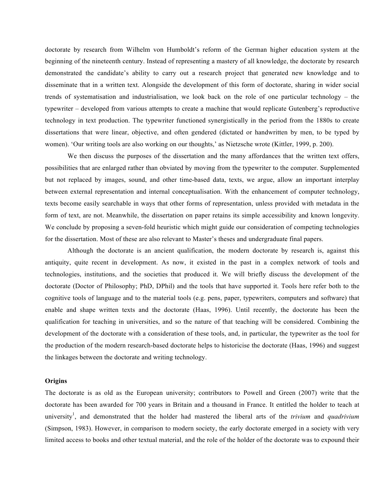doctorate by research from Wilhelm von Humboldt's reform of the German higher education system at the beginning of the nineteenth century. Instead of representing a mastery of all knowledge, the doctorate by research demonstrated the candidate's ability to carry out a research project that generated new knowledge and to disseminate that in a written text. Alongside the development of this form of doctorate, sharing in wider social trends of systematisation and industrialisation, we look back on the role of one particular technology – the typewriter – developed from various attempts to create a machine that would replicate Gutenberg's reproductive technology in text production. The typewriter functioned synergistically in the period from the 1880s to create dissertations that were linear, objective, and often gendered (dictated or handwritten by men, to be typed by women). 'Our writing tools are also working on our thoughts,' as Nietzsche wrote (Kittler, 1999, p. 200).

We then discuss the purposes of the dissertation and the many affordances that the written text offers, possibilities that are enlarged rather than obviated by moving from the typewriter to the computer. Supplemented but not replaced by images, sound, and other time-based data, texts, we argue, allow an important interplay between external representation and internal conceptualisation. With the enhancement of computer technology, texts become easily searchable in ways that other forms of representation, unless provided with metadata in the form of text, are not. Meanwhile, the dissertation on paper retains its simple accessibility and known longevity. We conclude by proposing a seven-fold heuristic which might guide our consideration of competing technologies for the dissertation. Most of these are also relevant to Master's theses and undergraduate final papers.

Although the doctorate is an ancient qualification, the modern doctorate by research is, against this antiquity, quite recent in development. As now, it existed in the past in a complex network of tools and technologies, institutions, and the societies that produced it. We will briefly discuss the development of the doctorate (Doctor of Philosophy; PhD, DPhil) and the tools that have supported it. Tools here refer both to the cognitive tools of language and to the material tools (e.g. pens, paper, typewriters, computers and software) that enable and shape written texts and the doctorate (Haas, 1996). Until recently, the doctorate has been the qualification for teaching in universities, and so the nature of that teaching will be considered. Combining the development of the doctorate with a consideration of these tools, and, in particular, the typewriter as the tool for the production of the modern research-based doctorate helps to historicise the doctorate (Haas, 1996) and suggest the linkages between the doctorate and writing technology.

### **Origins**

The doctorate is as old as the European university; contributors to Powell and Green (2007) write that the doctorate has been awarded for 700 years in Britain and a thousand in France. It entitled the holder to teach at university<sup>1</sup>, and demonstrated that the holder had mastered the liberal arts of the *trivium* and *quadrivium* (Simpson, 1983). However, in comparison to modern society, the early doctorate emerged in a society with very limited access to books and other textual material, and the role of the holder of the doctorate was to expound their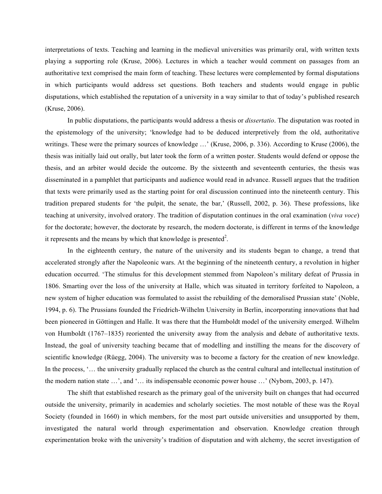interpretations of texts. Teaching and learning in the medieval universities was primarily oral, with written texts playing a supporting role (Kruse, 2006). Lectures in which a teacher would comment on passages from an authoritative text comprised the main form of teaching. These lectures were complemented by formal disputations in which participants would address set questions. Both teachers and students would engage in public disputations, which established the reputation of a university in a way similar to that of today's published research (Kruse, 2006).

In public disputations, the participants would address a thesis or *dissertatio*. The disputation was rooted in the epistemology of the university; 'knowledge had to be deduced interpretively from the old, authoritative writings. These were the primary sources of knowledge …' (Kruse, 2006, p. 336). According to Kruse (2006), the thesis was initially laid out orally, but later took the form of a written poster. Students would defend or oppose the thesis, and an arbiter would decide the outcome. By the sixteenth and seventeenth centuries, the thesis was disseminated in a pamphlet that participants and audience would read in advance. Russell argues that the tradition that texts were primarily used as the starting point for oral discussion continued into the nineteenth century. This tradition prepared students for 'the pulpit, the senate, the bar,' (Russell, 2002, p. 36). These professions, like teaching at university, involved oratory. The tradition of disputation continues in the oral examination (*viva voce*) for the doctorate; however, the doctorate by research, the modern doctorate, is different in terms of the knowledge it represents and the means by which that knowledge is presented<sup>2</sup>.

In the eighteenth century, the nature of the university and its students began to change, a trend that accelerated strongly after the Napoleonic wars. At the beginning of the nineteenth century, a revolution in higher education occurred. 'The stimulus for this development stemmed from Napoleon's military defeat of Prussia in 1806. Smarting over the loss of the university at Halle, which was situated in territory forfeited to Napoleon, a new system of higher education was formulated to assist the rebuilding of the demoralised Prussian state' (Noble, 1994, p. 6). The Prussians founded the Friedrich-Wilhelm University in Berlin, incorporating innovations that had been pioneered in Göttingen and Halle. It was there that the Humboldt model of the university emerged. Wilhelm von Humboldt (1767–1835) reoriented the university away from the analysis and debate of authoritative texts. Instead, the goal of university teaching became that of modelling and instilling the means for the discovery of scientific knowledge (Rüegg, 2004). The university was to become a factory for the creation of new knowledge. In the process, '... the university gradually replaced the church as the central cultural and intellectual institution of the modern nation state …', and '… its indispensable economic power house …' (Nybom, 2003, p. 147).

The shift that established research as the primary goal of the university built on changes that had occurred outside the university, primarily in academies and scholarly societies. The most notable of these was the Royal Society (founded in 1660) in which members, for the most part outside universities and unsupported by them, investigated the natural world through experimentation and observation. Knowledge creation through experimentation broke with the university's tradition of disputation and with alchemy, the secret investigation of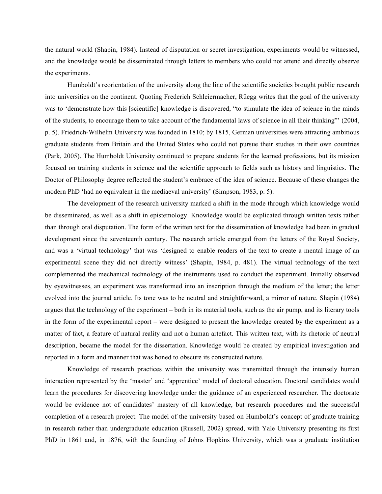the natural world (Shapin, 1984). Instead of disputation or secret investigation, experiments would be witnessed, and the knowledge would be disseminated through letters to members who could not attend and directly observe the experiments.

Humboldt's reorientation of the university along the line of the scientific societies brought public research into universities on the continent. Quoting Frederich Schleiermacher, Rüegg writes that the goal of the university was to 'demonstrate how this [scientific] knowledge is discovered, "to stimulate the idea of science in the minds of the students, to encourage them to take account of the fundamental laws of science in all their thinking"' (2004, p. 5). Friedrich-Wilhelm University was founded in 1810; by 1815, German universities were attracting ambitious graduate students from Britain and the United States who could not pursue their studies in their own countries (Park, 2005). The Humboldt University continued to prepare students for the learned professions, but its mission focused on training students in science and the scientific approach to fields such as history and linguistics. The Doctor of Philosophy degree reflected the student's embrace of the idea of science. Because of these changes the modern PhD 'had no equivalent in the mediaeval university' (Simpson, 1983, p. 5).

The development of the research university marked a shift in the mode through which knowledge would be disseminated, as well as a shift in epistemology. Knowledge would be explicated through written texts rather than through oral disputation. The form of the written text for the dissemination of knowledge had been in gradual development since the seventeenth century. The research article emerged from the letters of the Royal Society, and was a 'virtual technology' that was 'designed to enable readers of the text to create a mental image of an experimental scene they did not directly witness' (Shapin, 1984, p. 481). The virtual technology of the text complemented the mechanical technology of the instruments used to conduct the experiment. Initially observed by eyewitnesses, an experiment was transformed into an inscription through the medium of the letter; the letter evolved into the journal article. Its tone was to be neutral and straightforward, a mirror of nature. Shapin (1984) argues that the technology of the experiment – both in its material tools, such as the air pump, and its literary tools in the form of the experimental report – were designed to present the knowledge created by the experiment as a matter of fact, a feature of natural reality and not a human artefact. This written text, with its rhetoric of neutral description, became the model for the dissertation. Knowledge would be created by empirical investigation and reported in a form and manner that was honed to obscure its constructed nature.

Knowledge of research practices within the university was transmitted through the intensely human interaction represented by the 'master' and 'apprentice' model of doctoral education. Doctoral candidates would learn the procedures for discovering knowledge under the guidance of an experienced researcher. The doctorate would be evidence not of candidates' mastery of all knowledge, but research procedures and the successful completion of a research project. The model of the university based on Humboldt's concept of graduate training in research rather than undergraduate education (Russell, 2002) spread, with Yale University presenting its first PhD in 1861 and, in 1876, with the founding of Johns Hopkins University, which was a graduate institution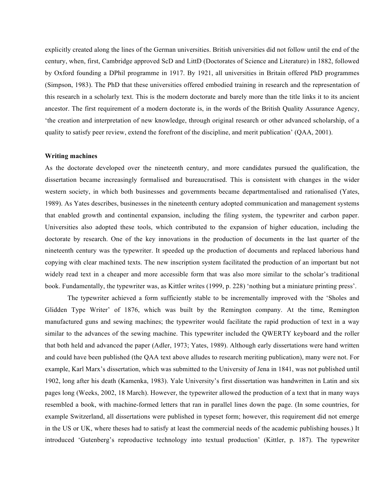explicitly created along the lines of the German universities. British universities did not follow until the end of the century, when, first, Cambridge approved ScD and LittD (Doctorates of Science and Literature) in 1882, followed by Oxford founding a DPhil programme in 1917. By 1921, all universities in Britain offered PhD programmes (Simpson, 1983). The PhD that these universities offered embodied training in research and the representation of this research in a scholarly text. This is the modern doctorate and barely more than the title links it to its ancient ancestor. The first requirement of a modern doctorate is, in the words of the British Quality Assurance Agency, 'the creation and interpretation of new knowledge, through original research or other advanced scholarship, of a quality to satisfy peer review, extend the forefront of the discipline, and merit publication' (QAA, 2001).

### **Writing machines**

As the doctorate developed over the nineteenth century, and more candidates pursued the qualification, the dissertation became increasingly formalised and bureaucratised. This is consistent with changes in the wider western society, in which both businesses and governments became departmentalised and rationalised (Yates, 1989). As Yates describes, businesses in the nineteenth century adopted communication and management systems that enabled growth and continental expansion, including the filing system, the typewriter and carbon paper. Universities also adopted these tools, which contributed to the expansion of higher education, including the doctorate by research. One of the key innovations in the production of documents in the last quarter of the nineteenth century was the typewriter. It speeded up the production of documents and replaced laborious hand copying with clear machined texts. The new inscription system facilitated the production of an important but not widely read text in a cheaper and more accessible form that was also more similar to the scholar's traditional book. Fundamentally, the typewriter was, as Kittler writes (1999, p. 228) 'nothing but a miniature printing press'.

The typewriter achieved a form sufficiently stable to be incrementally improved with the 'Sholes and Glidden Type Writer' of 1876, which was built by the Remington company. At the time, Remington manufactured guns and sewing machines; the typewriter would facilitate the rapid production of text in a way similar to the advances of the sewing machine. This typewriter included the QWERTY keyboard and the roller that both held and advanced the paper (Adler, 1973; Yates, 1989). Although early dissertations were hand written and could have been published (the QAA text above alludes to research meriting publication), many were not. For example, Karl Marx's dissertation, which was submitted to the University of Jena in 1841, was not published until 1902, long after his death (Kamenka, 1983). Yale University's first dissertation was handwritten in Latin and six pages long (Weeks, 2002, 18 March). However, the typewriter allowed the production of a text that in many ways resembled a book, with machine-formed letters that ran in parallel lines down the page. (In some countries, for example Switzerland, all dissertations were published in typeset form; however, this requirement did not emerge in the US or UK, where theses had to satisfy at least the commercial needs of the academic publishing houses.) It introduced 'Gutenberg's reproductive technology into textual production' (Kittler, p. 187). The typewriter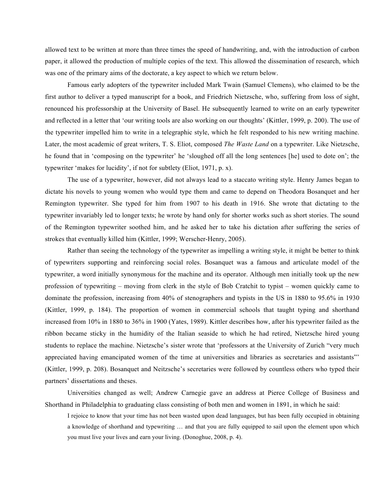allowed text to be written at more than three times the speed of handwriting, and, with the introduction of carbon paper, it allowed the production of multiple copies of the text. This allowed the dissemination of research, which was one of the primary aims of the doctorate, a key aspect to which we return below.

Famous early adopters of the typewriter included Mark Twain (Samuel Clemens), who claimed to be the first author to deliver a typed manuscript for a book, and Friedrich Nietzsche, who, suffering from loss of sight, renounced his professorship at the University of Basel. He subsequently learned to write on an early typewriter and reflected in a letter that 'our writing tools are also working on our thoughts' (Kittler, 1999, p. 200). The use of the typewriter impelled him to write in a telegraphic style, which he felt responded to his new writing machine. Later, the most academic of great writers, T. S. Eliot, composed *The Waste Land* on a typewriter. Like Nietzsche, he found that in 'composing on the typewriter' he 'sloughed off all the long sentences [he] used to dote on'; the typewriter 'makes for lucidity', if not for subtlety (Eliot, 1971, p. x).

The use of a typewriter, however, did not always lead to a staccato writing style. Henry James began to dictate his novels to young women who would type them and came to depend on Theodora Bosanquet and her Remington typewriter. She typed for him from 1907 to his death in 1916. She wrote that dictating to the typewriter invariably led to longer texts; he wrote by hand only for shorter works such as short stories. The sound of the Remington typewriter soothed him, and he asked her to take his dictation after suffering the series of strokes that eventually killed him (Kittler, 1999; Werscher-Henry, 2005).

Rather than seeing the technology of the typewriter as impelling a writing style, it might be better to think of typewriters supporting and reinforcing social roles. Bosanquet was a famous and articulate model of the typewriter, a word initially synonymous for the machine and its operator. Although men initially took up the new profession of typewriting – moving from clerk in the style of Bob Cratchit to typist – women quickly came to dominate the profession, increasing from 40% of stenographers and typists in the US in 1880 to 95.6% in 1930 (Kittler, 1999, p. 184). The proportion of women in commercial schools that taught typing and shorthand increased from 10% in 1880 to 36% in 1900 (Yates, 1989). Kittler describes how, after his typewriter failed as the ribbon became sticky in the humidity of the Italian seaside to which he had retired, Nietzsche hired young students to replace the machine. Nietzsche's sister wrote that 'professors at the University of Zurich "very much appreciated having emancipated women of the time at universities and libraries as secretaries and assistants"' (Kittler, 1999, p. 208). Bosanquet and Neitzsche's secretaries were followed by countless others who typed their partners' dissertations and theses.

Universities changed as well; Andrew Carnegie gave an address at Pierce College of Business and Shorthand in Philadelphia to graduating class consisting of both men and women in 1891, in which he said:

I rejoice to know that your time has not been wasted upon dead languages, but has been fully occupied in obtaining a knowledge of shorthand and typewriting … and that you are fully equipped to sail upon the element upon which you must live your lives and earn your living. (Donoghue, 2008, p. 4).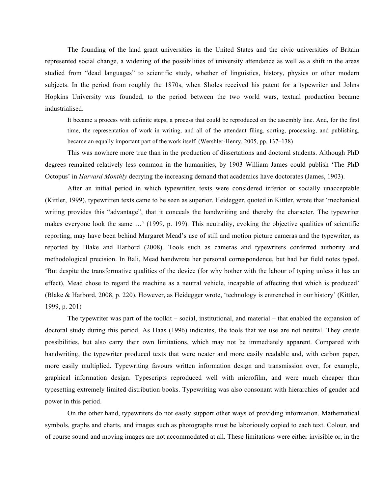The founding of the land grant universities in the United States and the civic universities of Britain represented social change, a widening of the possibilities of university attendance as well as a shift in the areas studied from "dead languages" to scientific study, whether of linguistics, history, physics or other modern subjects. In the period from roughly the 1870s, when Sholes received his patent for a typewriter and Johns Hopkins University was founded, to the period between the two world wars, textual production became industrialised.

It became a process with definite steps, a process that could be reproduced on the assembly line. And, for the first time, the representation of work in writing, and all of the attendant filing, sorting, processing, and publishing, became an equally important part of the work itself. (Wershler-Henry, 2005, pp. 137–138)

This was nowhere more true than in the production of dissertations and doctoral students. Although PhD degrees remained relatively less common in the humanities, by 1903 William James could publish 'The PhD Octopus' in *Harvard Monthly* decrying the increasing demand that academics have doctorates (James, 1903).

After an initial period in which typewritten texts were considered inferior or socially unacceptable (Kittler, 1999), typewritten texts came to be seen as superior. Heidegger, quoted in Kittler, wrote that 'mechanical writing provides this "advantage", that it conceals the handwriting and thereby the character. The typewriter makes everyone look the same …' (1999, p. 199). This neutrality, evoking the objective qualities of scientific reporting, may have been behind Margaret Mead's use of still and motion picture cameras and the typewriter, as reported by Blake and Harbord (2008). Tools such as cameras and typewriters conferred authority and methodological precision. In Bali, Mead handwrote her personal correspondence, but had her field notes typed. 'But despite the transformative qualities of the device (for why bother with the labour of typing unless it has an effect), Mead chose to regard the machine as a neutral vehicle, incapable of affecting that which is produced' (Blake & Harbord, 2008, p. 220). However, as Heidegger wrote, 'technology is entrenched in our history' (Kittler, 1999, p. 201)

The typewriter was part of the toolkit – social, institutional, and material – that enabled the expansion of doctoral study during this period. As Haas (1996) indicates, the tools that we use are not neutral. They create possibilities, but also carry their own limitations, which may not be immediately apparent. Compared with handwriting, the typewriter produced texts that were neater and more easily readable and, with carbon paper, more easily multiplied. Typewriting favours written information design and transmission over, for example, graphical information design. Typescripts reproduced well with microfilm, and were much cheaper than typesetting extremely limited distribution books. Typewriting was also consonant with hierarchies of gender and power in this period.

On the other hand, typewriters do not easily support other ways of providing information. Mathematical symbols, graphs and charts, and images such as photographs must be laboriously copied to each text. Colour, and of course sound and moving images are not accommodated at all. These limitations were either invisible or, in the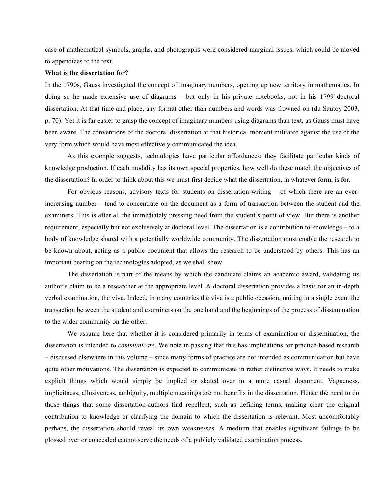case of mathematical symbols, graphs, and photographs were considered marginal issues, which could be moved to appendices to the text.

#### **What is the dissertation for?**

In the 1790s, Gauss investigated the concept of imaginary numbers, opening up new territory in mathematics. In doing so he made extensive use of diagrams – but only in his private notebooks, not in his 1799 doctoral dissertation. At that time and place, any format other than numbers and words was frowned on (du Sautoy 2003, p. 70). Yet it is far easier to grasp the concept of imaginary numbers using diagrams than text, as Gauss must have been aware. The conventions of the doctoral dissertation at that historical moment militated against the use of the very form which would have most effectively communicated the idea.

As this example suggests, technologies have particular affordances: they facilitate particular kinds of knowledge production. If each modality has its own special properties, how well do these match the objectives of the dissertation? In order to think about this we must first decide what the dissertation, in whatever form, is for.

For obvious reasons, advisory texts for students on dissertation-writing – of which there are an everincreasing number – tend to concentrate on the document as a form of transaction between the student and the examiners. This is after all the immediately pressing need from the student's point of view. But there is another requirement, especially but not exclusively at doctoral level. The dissertation is a contribution to knowledge – to a body of knowledge shared with a potentially worldwide community. The dissertation must enable the research to be known about, acting as a public document that allows the research to be understood by others. This has an important bearing on the technologies adopted, as we shall show.

The dissertation is part of the means by which the candidate claims an academic award, validating its author's claim to be a researcher at the appropriate level. A doctoral dissertation provides a basis for an in-depth verbal examination, the viva. Indeed, in many countries the viva is a public occasion, uniting in a single event the transaction between the student and examiners on the one hand and the beginnings of the process of dissemination to the wider community on the other.

We assume here that whether it is considered primarily in terms of examination or dissemination, the dissertation is intended to *communicate*. We note in passing that this has implications for practice-based research – discussed elsewhere in this volume – since many forms of practice are not intended as communication but have quite other motivations. The dissertation is expected to communicate in rather distinctive ways. It needs to make explicit things which would simply be implied or skated over in a more casual document. Vagueness, implicitness, allusiveness, ambiguity, multiple meanings are not benefits in the dissertation. Hence the need to do those things that some dissertation-authors find repellent, such as defining terms, making clear the original contribution to knowledge or clarifying the domain to which the dissertation is relevant. Most uncomfortably perhaps, the dissertation should reveal its own weaknesses. A medium that enables significant failings to be glossed over or concealed cannot serve the needs of a publicly validated examination process.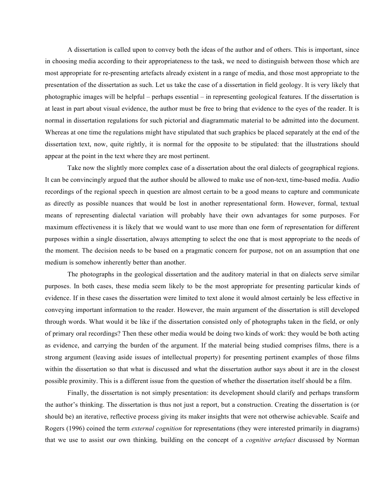A dissertation is called upon to convey both the ideas of the author and of others. This is important, since in choosing media according to their appropriateness to the task, we need to distinguish between those which are most appropriate for re-presenting artefacts already existent in a range of media, and those most appropriate to the presentation of the dissertation as such. Let us take the case of a dissertation in field geology. It is very likely that photographic images will be helpful – perhaps essential – in representing geological features. If the dissertation is at least in part about visual evidence, the author must be free to bring that evidence to the eyes of the reader. It is normal in dissertation regulations for such pictorial and diagrammatic material to be admitted into the document. Whereas at one time the regulations might have stipulated that such graphics be placed separately at the end of the dissertation text, now, quite rightly, it is normal for the opposite to be stipulated: that the illustrations should appear at the point in the text where they are most pertinent.

Take now the slightly more complex case of a dissertation about the oral dialects of geographical regions. It can be convincingly argued that the author should be allowed to make use of non-text, time-based media. Audio recordings of the regional speech in question are almost certain to be a good means to capture and communicate as directly as possible nuances that would be lost in another representational form. However, formal, textual means of representing dialectal variation will probably have their own advantages for some purposes. For maximum effectiveness it is likely that we would want to use more than one form of representation for different purposes within a single dissertation, always attempting to select the one that is most appropriate to the needs of the moment. The decision needs to be based on a pragmatic concern for purpose, not on an assumption that one medium is somehow inherently better than another.

The photographs in the geological dissertation and the auditory material in that on dialects serve similar purposes. In both cases, these media seem likely to be the most appropriate for presenting particular kinds of evidence. If in these cases the dissertation were limited to text alone it would almost certainly be less effective in conveying important information to the reader. However, the main argument of the dissertation is still developed through words. What would it be like if the dissertation consisted only of photographs taken in the field, or only of primary oral recordings? Then these other media would be doing two kinds of work: they would be both acting as evidence, and carrying the burden of the argument. If the material being studied comprises films, there is a strong argument (leaving aside issues of intellectual property) for presenting pertinent examples of those films within the dissertation so that what is discussed and what the dissertation author says about it are in the closest possible proximity. This is a different issue from the question of whether the dissertation itself should be a film.

Finally, the dissertation is not simply presentation: its development should clarify and perhaps transform the author's thinking. The dissertation is thus not just a report, but a construction. Creating the dissertation is (or should be) an iterative, reflective process giving its maker insights that were not otherwise achievable. Scaife and Rogers (1996) coined the term *external cognition* for representations (they were interested primarily in diagrams) that we use to assist our own thinking*,* building on the concept of a *cognitive artefact* discussed by Norman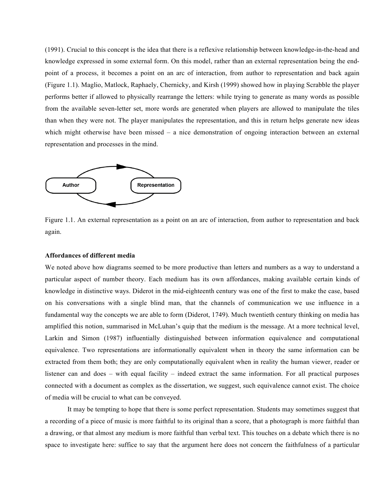(1991). Crucial to this concept is the idea that there is a reflexive relationship between knowledge-in-the-head and knowledge expressed in some external form. On this model, rather than an external representation being the endpoint of a process, it becomes a point on an arc of interaction, from author to representation and back again (Figure 1.1). Maglio, Matlock, Raphaely, Chernicky, and Kirsh (1999) showed how in playing Scrabble the player performs better if allowed to physically rearrange the letters: while trying to generate as many words as possible from the available seven-letter set, more words are generated when players are allowed to manipulate the tiles than when they were not. The player manipulates the representation, and this in return helps generate new ideas which might otherwise have been missed – a nice demonstration of ongoing interaction between an external representation and processes in the mind.



Figure 1.1. An external representation as a point on an arc of interaction, from author to representation and back again.

# **Affordances of different media**

We noted above how diagrams seemed to be more productive than letters and numbers as a way to understand a particular aspect of number theory. Each medium has its own affordances, making available certain kinds of knowledge in distinctive ways. Diderot in the mid-eighteenth century was one of the first to make the case, based on his conversations with a single blind man, that the channels of communication we use influence in a fundamental way the concepts we are able to form (Diderot, 1749). Much twentieth century thinking on media has amplified this notion, summarised in McLuhan's quip that the medium is the message. At a more technical level, Larkin and Simon (1987) influentially distinguished between information equivalence and computational equivalence. Two representations are informationally equivalent when in theory the same information can be extracted from them both; they are only computationally equivalent when in reality the human viewer, reader or listener can and does – with equal facility – indeed extract the same information. For all practical purposes connected with a document as complex as the dissertation, we suggest, such equivalence cannot exist. The choice of media will be crucial to what can be conveyed.

It may be tempting to hope that there is some perfect representation. Students may sometimes suggest that a recording of a piece of music is more faithful to its original than a score, that a photograph is more faithful than a drawing, or that almost any medium is more faithful than verbal text. This touches on a debate which there is no space to investigate here: suffice to say that the argument here does not concern the faithfulness of a particular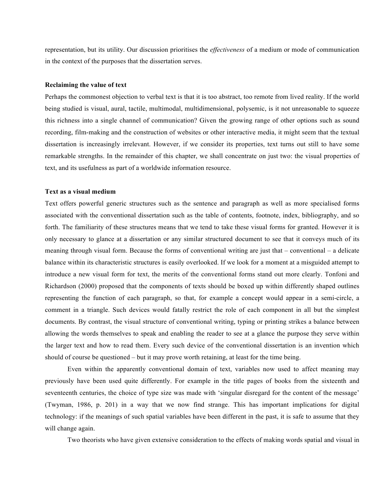representation, but its utility. Our discussion prioritises the *effectiveness* of a medium or mode of communication in the context of the purposes that the dissertation serves.

#### **Reclaiming the value of text**

Perhaps the commonest objection to verbal text is that it is too abstract, too remote from lived reality. If the world being studied is visual, aural, tactile, multimodal, multidimensional, polysemic, is it not unreasonable to squeeze this richness into a single channel of communication? Given the growing range of other options such as sound recording, film-making and the construction of websites or other interactive media, it might seem that the textual dissertation is increasingly irrelevant. However, if we consider its properties, text turns out still to have some remarkable strengths. In the remainder of this chapter, we shall concentrate on just two: the visual properties of text, and its usefulness as part of a worldwide information resource.

### **Text as a visual medium**

Text offers powerful generic structures such as the sentence and paragraph as well as more specialised forms associated with the conventional dissertation such as the table of contents, footnote, index, bibliography, and so forth. The familiarity of these structures means that we tend to take these visual forms for granted. However it is only necessary to glance at a dissertation or any similar structured document to see that it conveys much of its meaning through visual form. Because the forms of conventional writing are just that – conventional – a delicate balance within its characteristic structures is easily overlooked. If we look for a moment at a misguided attempt to introduce a new visual form for text, the merits of the conventional forms stand out more clearly. Tonfoni and Richardson (2000) proposed that the components of texts should be boxed up within differently shaped outlines representing the function of each paragraph, so that, for example a concept would appear in a semi-circle, a comment in a triangle. Such devices would fatally restrict the role of each component in all but the simplest documents. By contrast, the visual structure of conventional writing, typing or printing strikes a balance between allowing the words themselves to speak and enabling the reader to see at a glance the purpose they serve within the larger text and how to read them. Every such device of the conventional dissertation is an invention which should of course be questioned – but it may prove worth retaining, at least for the time being.

Even within the apparently conventional domain of text, variables now used to affect meaning may previously have been used quite differently. For example in the title pages of books from the sixteenth and seventeenth centuries, the choice of type size was made with 'singular disregard for the content of the message' (Twyman, 1986, p. 201) in a way that we now find strange. This has important implications for digital technology: if the meanings of such spatial variables have been different in the past, it is safe to assume that they will change again.

Two theorists who have given extensive consideration to the effects of making words spatial and visual in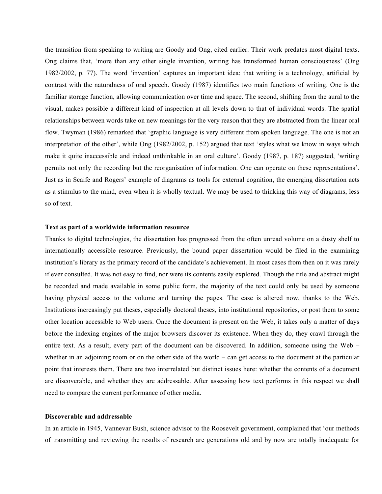the transition from speaking to writing are Goody and Ong, cited earlier. Their work predates most digital texts. Ong claims that, 'more than any other single invention, writing has transformed human consciousness' (Ong 1982/2002, p. 77). The word 'invention' captures an important idea: that writing is a technology, artificial by contrast with the naturalness of oral speech. Goody (1987) identifies two main functions of writing. One is the familiar storage function, allowing communication over time and space. The second, shifting from the aural to the visual, makes possible a different kind of inspection at all levels down to that of individual words. The spatial relationships between words take on new meanings for the very reason that they are abstracted from the linear oral flow. Twyman (1986) remarked that 'graphic language is very different from spoken language. The one is not an interpretation of the other', while Ong (1982/2002, p. 152) argued that text 'styles what we know in ways which make it quite inaccessible and indeed unthinkable in an oral culture'. Goody (1987, p. 187) suggested, 'writing permits not only the recording but the reorganisation of information. One can operate on these representations'. Just as in Scaife and Rogers' example of diagrams as tools for external cognition, the emerging dissertation acts as a stimulus to the mind, even when it is wholly textual. We may be used to thinking this way of diagrams, less so of text.

### **Text as part of a worldwide information resource**

Thanks to digital technologies, the dissertation has progressed from the often unread volume on a dusty shelf to internationally accessible resource. Previously, the bound paper dissertation would be filed in the examining institution's library as the primary record of the candidate's achievement. In most cases from then on it was rarely if ever consulted. It was not easy to find, nor were its contents easily explored. Though the title and abstract might be recorded and made available in some public form, the majority of the text could only be used by someone having physical access to the volume and turning the pages. The case is altered now, thanks to the Web. Institutions increasingly put theses, especially doctoral theses, into institutional repositories, or post them to some other location accessible to Web users. Once the document is present on the Web, it takes only a matter of days before the indexing engines of the major browsers discover its existence. When they do, they crawl through the entire text. As a result, every part of the document can be discovered. In addition, someone using the Web – whether in an adjoining room or on the other side of the world – can get access to the document at the particular point that interests them. There are two interrelated but distinct issues here: whether the contents of a document are discoverable, and whether they are addressable. After assessing how text performs in this respect we shall need to compare the current performance of other media.

### **Discoverable and addressable**

In an article in 1945, Vannevar Bush, science advisor to the Roosevelt government, complained that 'our methods of transmitting and reviewing the results of research are generations old and by now are totally inadequate for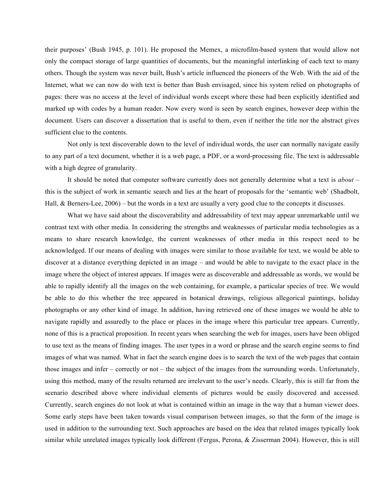their purposes' (Bush 1945, p. 101). He proposed the Memex, a microfilm-based system that would allow not only the compact storage of large quantities of documents, but the meaningful interlinking of each text to many others. Though the system was never built, Bush's article influenced the pioneers of the Web. With the aid of the Internet, what we can now do with text is better than Bush envisaged, since his system relied on photographs of pages: there was no access at the level of individual words except where these had been explicitly identified and marked up with codes by a human reader. Now every word is seen by search engines, however deep within the document. Users can discover a dissertation that is useful to them, even if neither the title nor the abstract gives sufficient clue to the contents.

Not only is text discoverable down to the level of individual words, the user can normally navigate easily to any part of a text document, whether it is a web page, a PDF, or a word-processing file. The text is addressable with a high degree of granularity.

It should be noted that computer software currently does not generally determine what a text is *about* – this is the subject of work in semantic search and lies at the heart of proposals for the 'semantic web' (Shadbolt, Hall, & Berners-Lee, 2006) – but the words in a text are usually a very good clue to the concepts it discusses.

What we have said about the discoverability and addressability of text may appear unremarkable until we contrast text with other media. In considering the strengths and weaknesses of particular media technologies as a means to share research knowledge, the current weaknesses of other media in this respect need to be acknowledged. If our means of dealing with images were similar to those available for text, we would be able to discover at a distance everything depicted in an image – and would be able to navigate to the exact place in the image where the object of interest appears. If images were as discoverable and addressable as words, we would be able to rapidly identify all the images on the web containing, for example, a particular species of tree. We would be able to do this whether the tree appeared in botanical drawings, religious allegorical paintings, holiday photographs or any other kind of image. In addition, having retrieved one of these images we would be able to navigate rapidly and assuredly to the place or places in the image where this particular tree appears. Currently, none of this is a practical proposition. In recent years when searching the web for images, users have been obliged to use text as the means of finding images. The user types in a word or phrase and the search engine seems to find images of what was named. What in fact the search engine does is to search the text of the web pages that contain those images and infer – correctly or not – the subject of the images from the surrounding words. Unfortunately, using this method, many of the results returned are irrelevant to the user's needs. Clearly, this is still far from the scenario described above where individual elements of pictures would be easily discovered and accessed. Currently, search engines do not look at what is contained within an image in the way that a human viewer does. Some early steps have been taken towards visual comparison between images, so that the form of the image is used in addition to the surrounding text. Such approaches are based on the idea that related images typically look similar while unrelated images typically look different (Fergus, Perona, & Zisserman 2004). However, this is still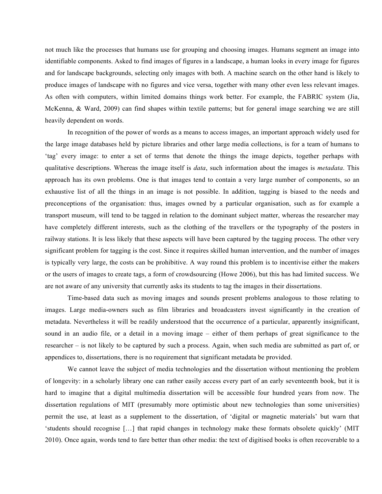not much like the processes that humans use for grouping and choosing images. Humans segment an image into identifiable components. Asked to find images of figures in a landscape, a human looks in every image for figures and for landscape backgrounds, selecting only images with both. A machine search on the other hand is likely to produce images of landscape with no figures and vice versa, together with many other even less relevant images. As often with computers, within limited domains things work better. For example, the FABRIC system (Jia, McKenna, & Ward, 2009) can find shapes within textile patterns; but for general image searching we are still heavily dependent on words.

In recognition of the power of words as a means to access images, an important approach widely used for the large image databases held by picture libraries and other large media collections, is for a team of humans to 'tag' every image: to enter a set of terms that denote the things the image depicts, together perhaps with qualitative descriptions. Whereas the image itself is *data*, such information about the images is *metadata*. This approach has its own problems. One is that images tend to contain a very large number of components, so an exhaustive list of all the things in an image is not possible. In addition, tagging is biased to the needs and preconceptions of the organisation: thus, images owned by a particular organisation, such as for example a transport museum, will tend to be tagged in relation to the dominant subject matter, whereas the researcher may have completely different interests, such as the clothing of the travellers or the typography of the posters in railway stations. It is less likely that these aspects will have been captured by the tagging process. The other very significant problem for tagging is the cost. Since it requires skilled human intervention, and the number of images is typically very large, the costs can be prohibitive. A way round this problem is to incentivise either the makers or the users of images to create tags, a form of crowdsourcing (Howe 2006), but this has had limited success. We are not aware of any university that currently asks its students to tag the images in their dissertations.

Time-based data such as moving images and sounds present problems analogous to those relating to images. Large media-owners such as film libraries and broadcasters invest significantly in the creation of metadata. Nevertheless it will be readily understood that the occurrence of a particular, apparently insignificant, sound in an audio file, or a detail in a moving image – either of them perhaps of great significance to the researcher – is not likely to be captured by such a process. Again, when such media are submitted as part of, or appendices to, dissertations, there is no requirement that significant metadata be provided.

We cannot leave the subject of media technologies and the dissertation without mentioning the problem of longevity: in a scholarly library one can rather easily access every part of an early seventeenth book, but it is hard to imagine that a digital multimedia dissertation will be accessible four hundred years from now. The dissertation regulations of MIT (presumably more optimistic about new technologies than some universities) permit the use, at least as a supplement to the dissertation, of 'digital or magnetic materials' but warn that 'students should recognise […] that rapid changes in technology make these formats obsolete quickly' (MIT 2010). Once again, words tend to fare better than other media: the text of digitised books is often recoverable to a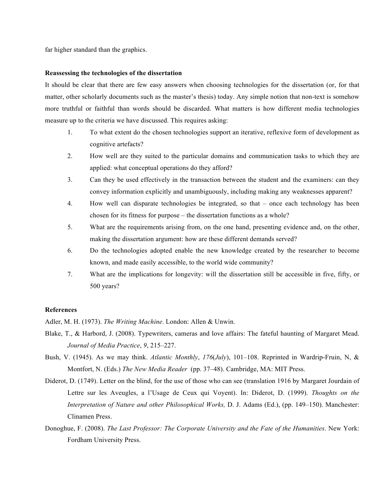far higher standard than the graphics.

### **Reassessing the technologies of the dissertation**

It should be clear that there are few easy answers when choosing technologies for the dissertation (or, for that matter, other scholarly documents such as the master's thesis) today. Any simple notion that non-text is somehow more truthful or faithful than words should be discarded. What matters is how different media technologies measure up to the criteria we have discussed. This requires asking:

- 1. To what extent do the chosen technologies support an iterative, reflexive form of development as cognitive artefacts?
- 2. How well are they suited to the particular domains and communication tasks to which they are applied: what conceptual operations do they afford?
- 3. Can they be used effectively in the transaction between the student and the examiners: can they convey information explicitly and unambiguously, including making any weaknesses apparent?
- 4. How well can disparate technologies be integrated, so that once each technology has been chosen for its fitness for purpose – the dissertation functions as a whole?
- 5. What are the requirements arising from, on the one hand, presenting evidence and, on the other, making the dissertation argument: how are these different demands served?
- 6. Do the technologies adopted enable the new knowledge created by the researcher to become known, and made easily accessible, to the world wide community?
- 7. What are the implications for longevity: will the dissertation still be accessible in five, fifty, or 500 years?

# **References**

Adler, M. H. (1973). *The Writing Machine*. London: Allen & Unwin.

- Blake, T., & Harbord, J. (2008). Typewriters, cameras and love affairs: The fateful haunting of Margaret Mead. *Journal of Media Practice*, *9*, 215–227.
- Bush, V. (1945). As we may think. *Atlantic Monthly*, *176*(*July*), 101–108. Reprinted in Wardrip-Fruin, N, & Montfort, N. (Eds.) *The New Media Reader* (pp. 37–48). Cambridge, MA: MIT Press.
- Diderot, D. (1749). Letter on the blind, for the use of those who can see (translation 1916 by Margaret Jourdain of Lettre sur les Aveugles, a l'Usage de Ceux qui Voyent). In: Diderot, D. (1999). *Thoughts on the Interpretation of Nature and other Philosophical Works,* D. J. Adams (Ed.), (pp. 149–150). Manchester: Clinamen Press.
- Donoghue, F. (2008). *The Last Professor: The Corporate University and the Fate of the Humanities*. New York: Fordham University Press.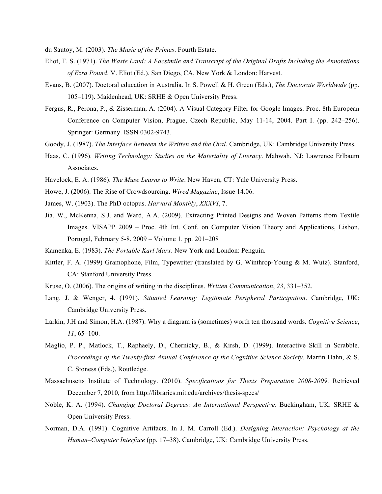du Sautoy, M. (2003). *The Music of the Primes*. Fourth Estate.

- Eliot, T. S. (1971). *The Waste Land: A Facsimile and Transcript of the Original Drafts Including the Annotations of Ezra Pound*. V. Eliot (Ed.). San Diego, CA, New York & London: Harvest.
- Evans, B. (2007). Doctoral education in Australia. In S. Powell & H. Green (Eds.), *The Doctorate Worldwide* (pp. 105–119). Maidenhead, UK: SRHE & Open University Press.
- Fergus, R., Perona, P., & Zisserman, A. (2004). A Visual Category Filter for Google Images. Proc. 8th European Conference on Computer Vision, Prague, Czech Republic, May 11-14, 2004. Part I. (pp. 242–256). Springer: Germany. ISSN 0302-9743.
- Goody, J. (1987). *The Interface Between the Written and the Oral*. Cambridge, UK: Cambridge University Press.
- Haas, C. (1996). *Writing Technology: Studies on the Materiality of Literacy*. Mahwah, NJ: Lawrence Erlbaum Associates.
- Havelock, E. A. (1986). *The Muse Learns to Write*. New Haven, CT: Yale University Press.
- Howe, J. (2006). The Rise of Crowdsourcing. *Wired Magazine*, Issue 14.06.
- James, W. (1903). The PhD octopus. *Harvard Monthly*, *XXXVI*, 7.
- Jia, W., McKenna, S.J. and Ward, A.A. (2009). Extracting Printed Designs and Woven Patterns from Textile Images. VISAPP 2009 – Proc. 4th Int. Conf. on Computer Vision Theory and Applications, Lisbon, Portugal, February 5-8, 2009 – Volume 1. pp. 201–208
- Kamenka, E. (1983). *The Portable Karl Marx*. New York and London: Penguin.
- Kittler, F. A. (1999) Gramophone, Film, Typewriter (translated by G. Winthrop-Young & M. Wutz). Stanford, CA: Stanford University Press.
- Kruse, O. (2006). The origins of writing in the disciplines. *Written Communication*, *23*, 331–352.
- Lang, J. & Wenger, 4. (1991). *Situated Learning: Legitimate Peripheral Participation*. Cambridge, UK: Cambridge University Press.
- Larkin, J.H and Simon, H.A. (1987). Why a diagram is (sometimes) worth ten thousand words. *Cognitive Science*, *11*, 65–100.
- Maglio, P. P., Matlock, T., Raphaely, D., Chernicky, B., & Kirsh, D. (1999). Interactive Skill in Scrabble. *Proceedings of the Twenty-first Annual Conference of the Cognitive Science Society*. Martín Hahn, & S. C. Stoness (Eds.), Routledge.
- Massachusetts Institute of Technology. (2010). *Specifications for Thesis Preparation 2008-2009*. Retrieved December 7, 2010, from http://libraries.mit.edu/archives/thesis-specs/
- Noble, K. A. (1994). *Changing Doctoral Degrees: An International Perspective*. Buckingham, UK: SRHE & Open University Press.
- Norman, D.A. (1991). Cognitive Artifacts. In J. M. Carroll (Ed.). *Designing Interaction: Psychology at the Human–Computer Interface* (pp. 17–38). Cambridge, UK: Cambridge University Press.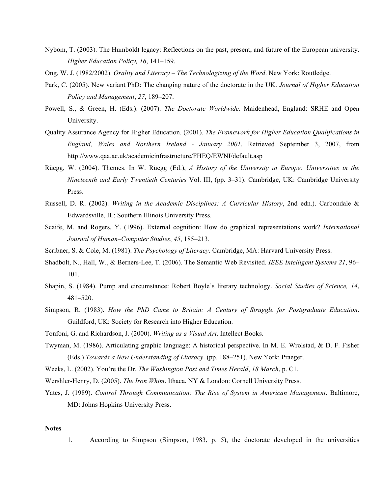- Nybom, T. (2003). The Humboldt legacy: Reflections on the past, present, and future of the European university. *Higher Education Policy, 16*, 141–159.
- Ong, W. J. (1982/2002). *Orality and Literacy – The Technologizing of the Word*. New York: Routledge.
- Park, C. (2005). New variant PhD: The changing nature of the doctorate in the UK. *Journal of Higher Education Policy and Management*, *27*, 189–207.
- Powell, S., & Green, H. (Eds.). (2007). *The Doctorate Worldwide*. Maidenhead, England: SRHE and Open University.
- Quality Assurance Agency for Higher Education. (2001). *The Framework for Higher Education Qualifications in England, Wales and Northern Ireland - January 2001*. Retrieved September 3, 2007, from http://www.qaa.ac.uk/academicinfrastructure/FHEQ/EWNI/default.asp
- Rüegg, W. (2004). Themes. In W. Rüegg (Ed.), *A History of the University in Europe: Universities in the Nineteenth and Early Twentieth Centuries* Vol. III, (pp. 3–31). Cambridge, UK: Cambridge University Press.
- Russell, D. R. (2002). *Writing in the Academic Disciplines: A Curricular History*, 2nd edn.). Carbondale & Edwardsville, IL: Southern Illinois University Press.
- Scaife, M. and Rogers, Y. (1996). External cognition: How do graphical representations work? *International Journal of Human–Computer Studies*, *45*, 185–213.
- Scribner, S. & Cole, M. (1981). *The Psychology of Literacy*. Cambridge, MA: Harvard University Press.
- Shadbolt, N., Hall, W., & Berners-Lee, T. (2006). The Semantic Web Revisited. *IEEE Intelligent Systems 21*, 96– 101.
- Shapin, S. (1984). Pump and circumstance: Robert Boyle's literary technology. *Social Studies of Science, 14*, 481–520.
- Simpson, R. (1983). *How the PhD Came to Britain: A Century of Struggle for Postgraduate Education*. Guildford, UK: Society for Research into Higher Education.
- Tonfoni, G. and Richardson, J. (2000). *Writing as a Visual Art*. Intellect Books.
- Twyman, M. (1986). Articulating graphic language: A historical perspective. In M. E. Wrolstad, & D. F. Fisher (Eds.) *Towards a New Understanding of Literacy*. (pp. 188–251). New York: Praeger.
- Weeks, L. (2002). You're the Dr. *The Washington Post and Times Herald*, *18 March*, p. C1.
- Wershler-Henry, D. (2005). *The Iron Whim*. Ithaca, NY & London: Cornell University Press.
- Yates, J. (1989). *Control Through Communication: The Rise of System in American Management*. Baltimore, MD: Johns Hopkins University Press.

### **Notes**

1. According to Simpson (Simpson, 1983, p. 5), the doctorate developed in the universities